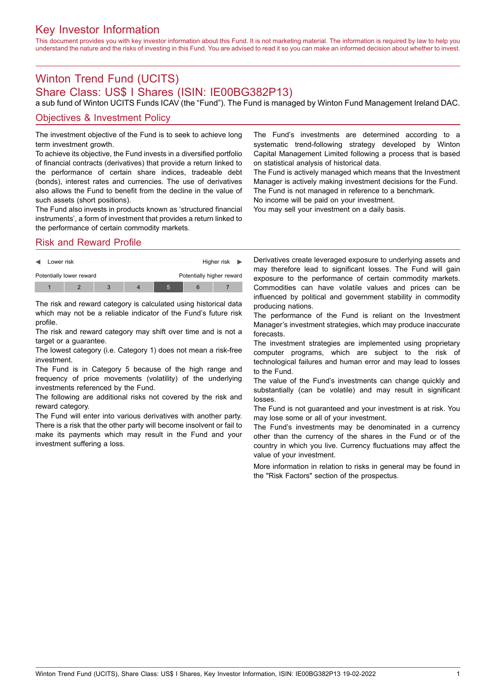## Key Investor Information

This document provides you with key investor information about this Fund. It is not marketing material. The information is required by law to help you understand the nature and the risks of investing in this Fund. You are advised to read it so you can make an informed decision about whether to invest.

# Winton Trend Fund (UCITS)

### Share Class: US\$ I Shares (ISIN: IE00BG382P13)

a sub fund of Winton UCITS Funds ICAV (the "Fund"). The Fund is managed by Winton Fund Management Ireland DAC.

#### Objectives & Investment Policy

The investment objective of the Fund is to seek to achieve long term investment growth.

To achieve its objective, the Fund invests in a diversified portfolio of financial contracts (derivatives) that provide a return linked to the performance of certain share indices, tradeable debt (bonds), interest rates and currencies. The use of derivatives also allows the Fund to benefit from the decline in the value of such assets (short positions).

The Fund also invests in products known as 'structured financial instruments', a form of investment that provides a return linked to the performance of certain commodity markets.

Risk and Reward Profile



The risk and reward category is calculated using historical data which may not be a reliable indicator of the Fund's future risk profile.

The risk and reward category may shift over time and is not a target or a guarantee.

The lowest category (i.e. Category 1) does not mean a risk-free investment.

The Fund is in Category 5 because of the high range and frequency of price movements (volatility) of the underlying investments referenced by the Fund.

The following are additional risks not covered by the risk and reward category.

The Fund will enter into various derivatives with another party. There is a risk that the other party will become insolvent or fail to make its payments which may result in the Fund and your investment suffering a loss.

The Fund's investments are determined according to a systematic trend-following strategy developed by Winton Capital Management Limited following a process that is based on statistical analysis of historical data.

The Fund is actively managed which means that the Investment Manager is actively making investment decisions for the Fund. The Fund is not managed in reference to a benchmark.

No income will be paid on your investment.

You may sell your investment on a daily basis.

Derivatives create leveraged exposure to underlying assets and may therefore lead to significant losses. The Fund will gain exposure to the performance of certain commodity markets. Commodities can have volatile values and prices can be influenced by political and government stability in commodity producing nations.

The performance of the Fund is reliant on the Investment Manager's investment strategies, which may produce inaccurate forecasts.

The investment strategies are implemented using proprietary computer programs, which are subject to the risk of technological failures and human error and may lead to losses to the Fund.

The value of the Fund's investments can change quickly and substantially (can be volatile) and may result in significant losses.

The Fund is not guaranteed and your investment is at risk. You may lose some or all of your investment.

The Fund's investments may be denominated in a currency other than the currency of the shares in the Fund or of the country in which you live. Currency fluctuations may affect the value of your investment.

More information in relation to risks in general may be found in the "Risk Factors" section of the prospectus.